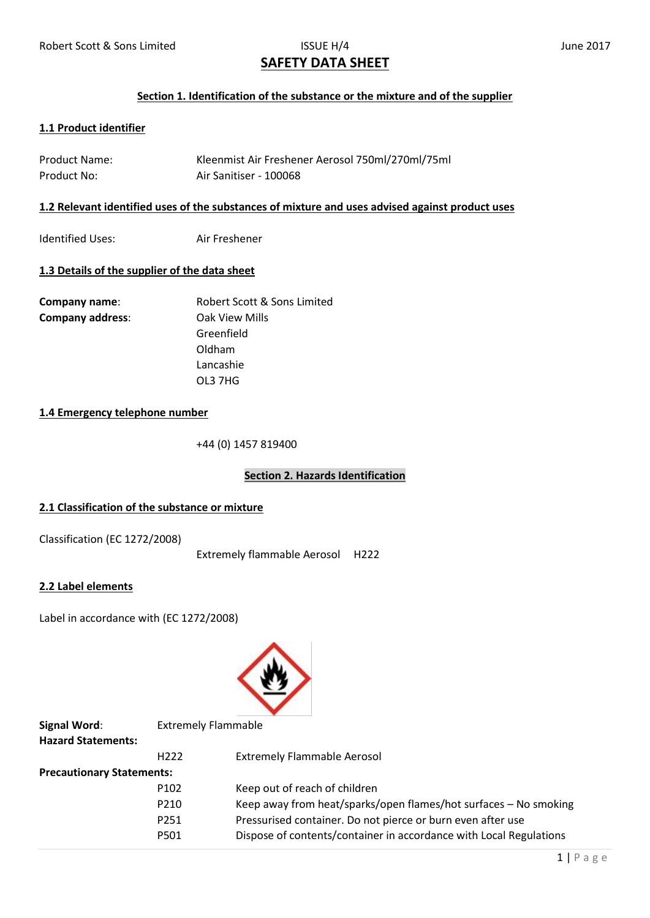# **SAFETY DATA SHEET**

## **Section 1. Identification of the substance or the mixture and of the supplier**

# **1.1 Product identifier**

| <b>Product Name:</b> | Kleenmist Air Freshener Aerosol 750ml/270ml/75ml |
|----------------------|--------------------------------------------------|
| Product No:          | Air Sanitiser - 100068                           |

#### **1.2 Relevant identified uses of the substances of mixture and uses advised against product uses**

Identified Uses: Air Freshener

## **1.3 Details of the supplier of the data sheet**

| Company name:           | Robert Scott & Sons Limited |
|-------------------------|-----------------------------|
| <b>Company address:</b> | Oak View Mills              |
|                         | Greenfield                  |
|                         | Oldham                      |
|                         | Lancashie                   |
|                         | OL3 7HG                     |

# **1.4 Emergency telephone number**

+44 (0) 1457 819400

# **Section 2. Hazards Identification**

## **2.1 Classification of the substance or mixture**

Classification (EC 1272/2008)

Extremely flammable Aerosol H222

## **2.2 Label elements**

Label in accordance with (EC 1272/2008)



| <b>Signal Word:</b>              |                  | <b>Extremely Flammable</b>                                         |  |  |
|----------------------------------|------------------|--------------------------------------------------------------------|--|--|
| <b>Hazard Statements:</b>        |                  |                                                                    |  |  |
|                                  | H <sub>222</sub> | <b>Extremely Flammable Aerosol</b>                                 |  |  |
| <b>Precautionary Statements:</b> |                  |                                                                    |  |  |
|                                  | P <sub>102</sub> | Keep out of reach of children                                      |  |  |
|                                  | P210             | Keep away from heat/sparks/open flames/hot surfaces – No smoking   |  |  |
|                                  | P251             | Pressurised container. Do not pierce or burn even after use        |  |  |
|                                  | P501             | Dispose of contents/container in accordance with Local Regulations |  |  |
|                                  |                  |                                                                    |  |  |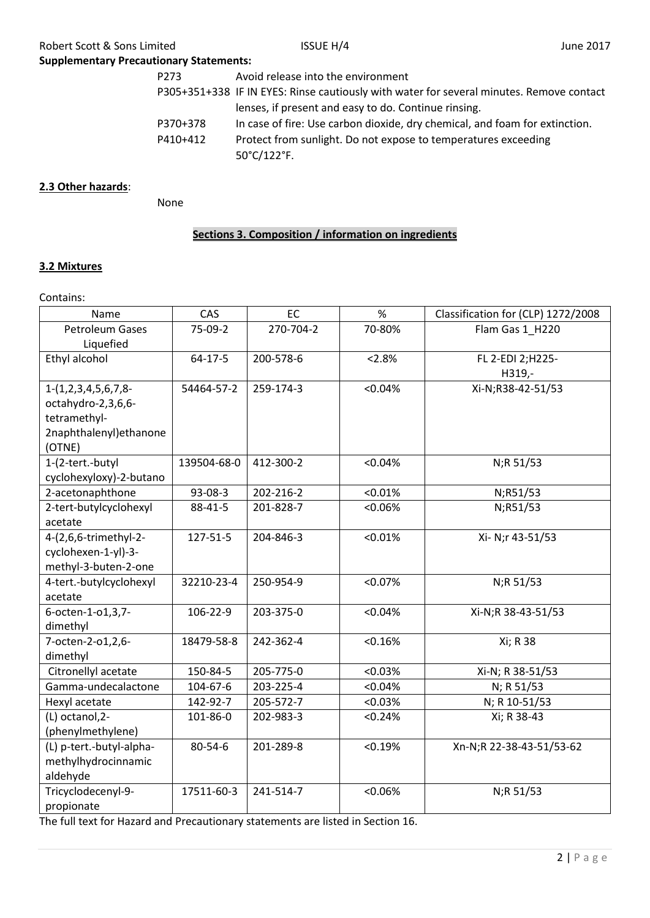| <b>ISSUE H/4</b>                                                                         | June 2017                                                                                                                                                   |  |
|------------------------------------------------------------------------------------------|-------------------------------------------------------------------------------------------------------------------------------------------------------------|--|
|                                                                                          |                                                                                                                                                             |  |
|                                                                                          |                                                                                                                                                             |  |
| P305+351+338 IF IN EYES: Rinse cautiously with water for several minutes. Remove contact |                                                                                                                                                             |  |
|                                                                                          |                                                                                                                                                             |  |
| In case of fire: Use carbon dioxide, dry chemical, and foam for extinction.              |                                                                                                                                                             |  |
| Protect from sunlight. Do not expose to temperatures exceeding                           |                                                                                                                                                             |  |
|                                                                                          | <b>Supplementary Precautionary Statements:</b><br>Avoid release into the environment<br>lenses, if present and easy to do. Continue rinsing.<br>50°C/122°F. |  |

# **2.3 Other hazards**:

None

# **Sections 3. Composition / information on ingredients**

## **3.2 Mixtures**

Contains:

| Name                     | CAS           | EC        | %       | Classification for (CLP) 1272/2008 |
|--------------------------|---------------|-----------|---------|------------------------------------|
| <b>Petroleum Gases</b>   | 75-09-2       | 270-704-2 | 70-80%  | Flam Gas 1_H220                    |
| Liquefied                |               |           |         |                                    |
| Ethyl alcohol            | $64 - 17 - 5$ | 200-578-6 | < 2.8%  | FL 2-EDI 2;H225-                   |
|                          |               |           |         | H319,-                             |
| $1-(1,2,3,4,5,6,7,8$     | 54464-57-2    | 259-174-3 | < 0.04% | Xi-N;R38-42-51/53                  |
| octahydro-2,3,6,6-       |               |           |         |                                    |
| tetramethyl-             |               |           |         |                                    |
| 2naphthalenyl) ethanone  |               |           |         |                                    |
| (OTNE)                   |               |           |         |                                    |
| 1-(2-tert.-butyl         | 139504-68-0   | 412-300-2 | < 0.04% | N;R 51/53                          |
| cyclohexyloxy)-2-butano  |               |           |         |                                    |
| 2-acetonaphthone         | 93-08-3       | 202-216-2 | < 0.01% | N;R51/53                           |
| 2-tert-butylcyclohexyl   | 88-41-5       | 201-828-7 | < 0.06% | N;R51/53                           |
| acetate                  |               |           |         |                                    |
| 4-(2,6,6-trimethyl-2-    | 127-51-5      | 204-846-3 | < 0.01% | Xi- N;r 43-51/53                   |
| cyclohexen-1-yl)-3-      |               |           |         |                                    |
| methyl-3-buten-2-one     |               |           |         |                                    |
| 4-tert.-butylcyclohexyl  | 32210-23-4    | 250-954-9 | < 0.07% | N;R 51/53                          |
| acetate                  |               |           |         |                                    |
| 6-octen-1-o1,3,7-        | 106-22-9      | 203-375-0 | < 0.04% | Xi-N;R 38-43-51/53                 |
| dimethyl                 |               |           |         |                                    |
| 7-octen-2-o1,2,6-        | 18479-58-8    | 242-362-4 | < 0.16% | Xi; R 38                           |
| dimethyl                 |               |           |         |                                    |
| Citronellyl acetate      | 150-84-5      | 205-775-0 | < 0.03% | Xi-N; R 38-51/53                   |
| Gamma-undecalactone      | 104-67-6      | 203-225-4 | < 0.04% | N; R 51/53                         |
| Hexyl acetate            | 142-92-7      | 205-572-7 | < 0.03% | N; R 10-51/53                      |
| (L) octanol, 2-          | 101-86-0      | 202-983-3 | < 0.24% | Xi; R 38-43                        |
| (phenylmethylene)        |               |           |         |                                    |
| (L) p-tert.-butyl-alpha- | 80-54-6       | 201-289-8 | < 0.19% | Xn-N;R 22-38-43-51/53-62           |
| methylhydrocinnamic      |               |           |         |                                    |
| aldehyde                 |               |           |         |                                    |
| Tricyclodecenyl-9-       | 17511-60-3    | 241-514-7 | < 0.06% | N;R 51/53                          |
| propionate               |               |           |         |                                    |

The full text for Hazard and Precautionary statements are listed in Section 16.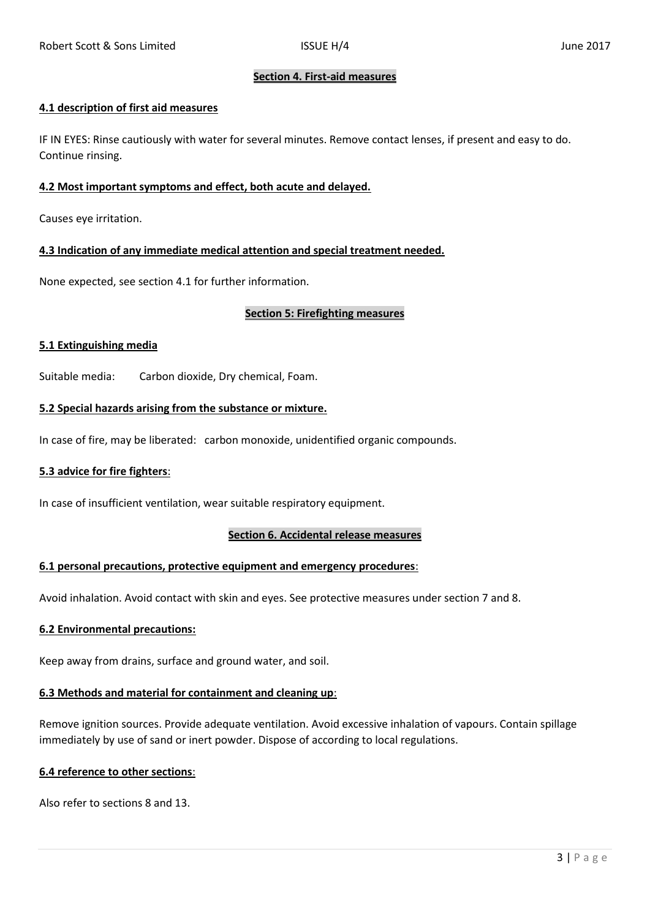## **Section 4. First-aid measures**

## **4.1 description of first aid measures**

IF IN EYES: Rinse cautiously with water for several minutes. Remove contact lenses, if present and easy to do. Continue rinsing.

## **4.2 Most important symptoms and effect, both acute and delayed.**

Causes eye irritation.

## **4.3 Indication of any immediate medical attention and special treatment needed.**

None expected, see section 4.1 for further information.

## **Section 5: Firefighting measures**

## **5.1 Extinguishing media**

Suitable media: Carbon dioxide, Dry chemical, Foam.

## **5.2 Special hazards arising from the substance or mixture.**

In case of fire, may be liberated: carbon monoxide, unidentified organic compounds.

## **5.3 advice for fire fighters**:

In case of insufficient ventilation, wear suitable respiratory equipment.

## **Section 6. Accidental release measures**

## **6.1 personal precautions, protective equipment and emergency procedures**:

Avoid inhalation. Avoid contact with skin and eyes. See protective measures under section 7 and 8.

## **6.2 Environmental precautions:**

Keep away from drains, surface and ground water, and soil.

## **6.3 Methods and material for containment and cleaning up**:

Remove ignition sources. Provide adequate ventilation. Avoid excessive inhalation of vapours. Contain spillage immediately by use of sand or inert powder. Dispose of according to local regulations.

## **6.4 reference to other sections**:

Also refer to sections 8 and 13.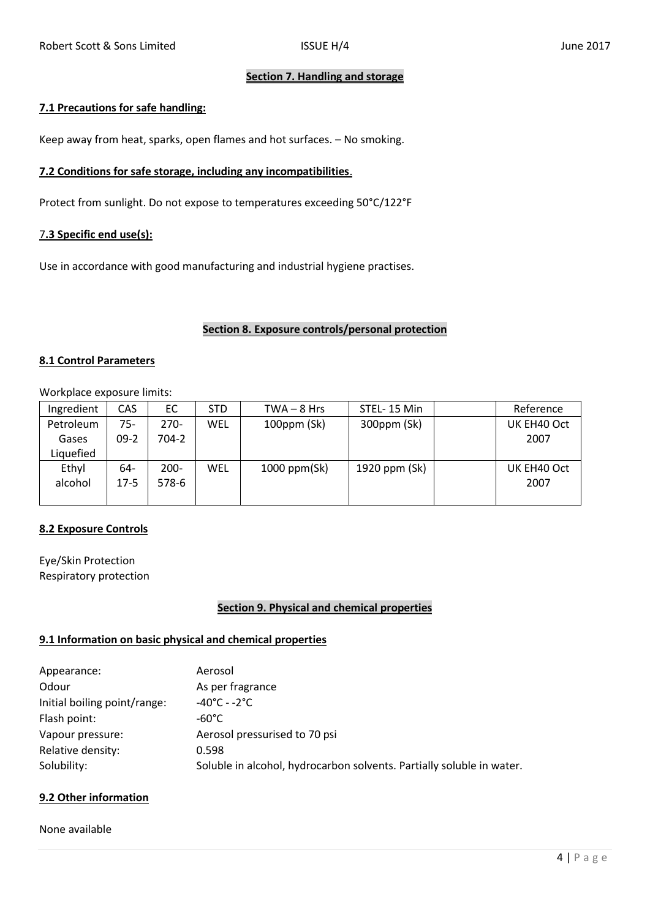## **Section 7. Handling and storage**

## **7.1 Precautions for safe handling:**

Keep away from heat, sparks, open flames and hot surfaces. – No smoking.

## **7.2 Conditions for safe storage, including any incompatibilities**.

Protect from sunlight. Do not expose to temperatures exceeding 50°C/122°F

## 7**.3 Specific end use(s):**

Use in accordance with good manufacturing and industrial hygiene practises.

## **Section 8. Exposure controls/personal protection**

## **8.1 Control Parameters**

Workplace exposure limits:

| Ingredient | CAS      | ЕC    | <b>STD</b> | $TWA - 8 Hrs$     | STEL-15 Min   | Reference   |
|------------|----------|-------|------------|-------------------|---------------|-------------|
| Petroleum  | 75-      | 270-  | WEL        | $100$ ppm $(Sk)$  | 300ppm (Sk)   | UK EH40 Oct |
| Gases      | $09-2$   | 704-2 |            |                   |               | 2007        |
| Liquefied  |          |       |            |                   |               |             |
| Ethyl      | 64-      | 200-  | WEL        | $1000$ ppm $(Sk)$ | 1920 ppm (Sk) | UK EH40 Oct |
| alcohol    | $17 - 5$ | 578-6 |            |                   |               | 2007        |
|            |          |       |            |                   |               |             |

# **8.2 Exposure Controls**

Eye/Skin Protection Respiratory protection

# **Section 9. Physical and chemical properties**

## **9.1 Information on basic physical and chemical properties**

| Appearance:                  | Aerosol                                                               |
|------------------------------|-----------------------------------------------------------------------|
| Odour                        | As per fragrance                                                      |
| Initial boiling point/range: | $-40^{\circ}$ C - -2 $^{\circ}$ C                                     |
| Flash point:                 | -60°C                                                                 |
| Vapour pressure:             | Aerosol pressurised to 70 psi                                         |
| Relative density:            | 0.598                                                                 |
| Solubility:                  | Soluble in alcohol, hydrocarbon solvents. Partially soluble in water. |

# **9.2 Other information**

None available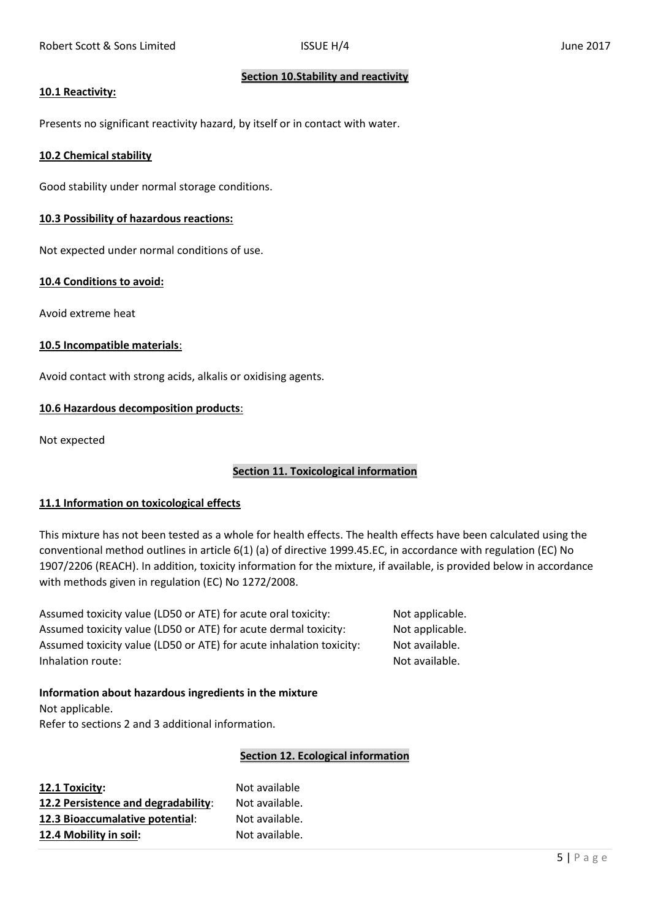## **Section 10.Stability and reactivity**

## **10.1 Reactivity:**

Presents no significant reactivity hazard, by itself or in contact with water.

## **10.2 Chemical stability**

Good stability under normal storage conditions.

## **10.3 Possibility of hazardous reactions:**

Not expected under normal conditions of use.

## **10.4 Conditions to avoid:**

Avoid extreme heat

## **10.5 Incompatible materials**:

Avoid contact with strong acids, alkalis or oxidising agents.

## **10.6 Hazardous decomposition products**:

Not expected

# **Section 11. Toxicological information**

## **11.1 Information on toxicological effects**

This mixture has not been tested as a whole for health effects. The health effects have been calculated using the conventional method outlines in article 6(1) (a) of directive 1999.45.EC, in accordance with regulation (EC) No 1907/2206 (REACH). In addition, toxicity information for the mixture, if available, is provided below in accordance with methods given in regulation (EC) No 1272/2008.

Assumed toxicity value (LD50 or ATE) for acute oral toxicity: Not applicable. Assumed toxicity value (LD50 or ATE) for acute dermal toxicity: Not applicable. Assumed toxicity value (LD50 or ATE) for acute inhalation toxicity: Not available. Inhalation route: Not available.

# **Information about hazardous ingredients in the mixture** Not applicable. Refer to sections 2 and 3 additional information.

# **Section 12. Ecological information**

**12.1 Toxicity:** Not available **12.2 Persistence and degradability**: Not available. **12.3 Bioaccumalative potential**: Not available. **12.4 Mobility in soil:** Not available.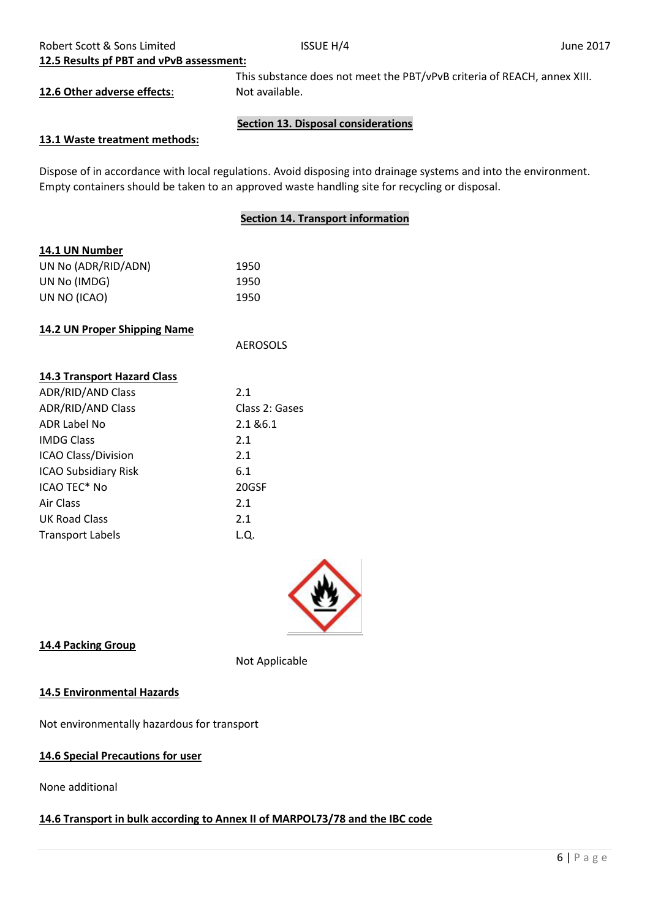**12.5 Results pf PBT and vPvB assessment:**

**12.6 Other adverse effects:** Not available.

This substance does not meet the PBT/vPvB criteria of REACH, annex XIII.

# **Section 13. Disposal considerations**

# **13.1 Waste treatment methods:**

Dispose of in accordance with local regulations. Avoid disposing into drainage systems and into the environment. Empty containers should be taken to an approved waste handling site for recycling or disposal.

# **Section 14. Transport information**

| 14.1 UN Number      |      |
|---------------------|------|
| UN No (ADR/RID/ADN) | 1950 |
| UN No (IMDG)        | 1950 |
| UN NO (ICAO)        | 1950 |
|                     |      |

# **14.2 UN Proper Shipping Name**

| <b>14.3 Transport Hazard Class</b> |                |
|------------------------------------|----------------|
| <b>ADR/RID/AND Class</b>           | 2.1            |
| <b>ADR/RID/AND Class</b>           | Class 2: Gases |
| <b>ADR Label No</b>                | 2.1 & 6.1      |
| <b>IMDG Class</b>                  | 2.1            |
| <b>ICAO Class/Division</b>         | 2.1            |
| <b>ICAO Subsidiary Risk</b>        | 6.1            |
| ICAO TEC* No                       | 20GSF          |
| Air Class                          | 2.1            |
| UK Road Class                      | 2.1            |
| <b>Transport Labels</b>            | L.Q.           |
|                                    |                |



# **14.4 Packing Group**

Not Applicable

AEROSOLS

## **14.5 Environmental Hazards**

Not environmentally hazardous for transport

# **14.6 Special Precautions for user**

None additional

# **14.6 Transport in bulk according to Annex II of MARPOL73/78 and the IBC code**

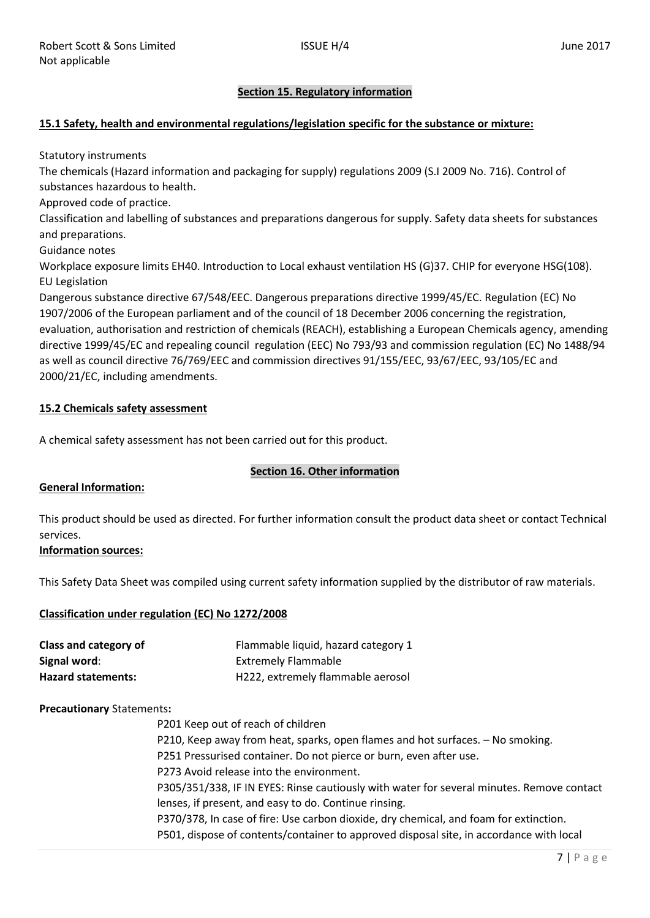# **Section 15. Regulatory information**

## **15.1 Safety, health and environmental regulations/legislation specific for the substance or mixture:**

Statutory instruments

The chemicals (Hazard information and packaging for supply) regulations 2009 (S.I 2009 No. 716). Control of substances hazardous to health.

Approved code of practice.

Classification and labelling of substances and preparations dangerous for supply. Safety data sheets for substances and preparations.

Guidance notes

Workplace exposure limits EH40. Introduction to Local exhaust ventilation HS (G)37. CHIP for everyone HSG(108). EU Legislation

Dangerous substance directive 67/548/EEC. Dangerous preparations directive 1999/45/EC. Regulation (EC) No 1907/2006 of the European parliament and of the council of 18 December 2006 concerning the registration, evaluation, authorisation and restriction of chemicals (REACH), establishing a European Chemicals agency, amending directive 1999/45/EC and repealing council regulation (EEC) No 793/93 and commission regulation (EC) No 1488/94 as well as council directive 76/769/EEC and commission directives 91/155/EEC, 93/67/EEC, 93/105/EC and 2000/21/EC, including amendments.

## **15.2 Chemicals safety assessment**

A chemical safety assessment has not been carried out for this product.

## **Section 16. Other information**

## **General Information:**

This product should be used as directed. For further information consult the product data sheet or contact Technical services.

## **Information sources:**

This Safety Data Sheet was compiled using current safety information supplied by the distributor of raw materials.

## **Classification under regulation (EC) No 1272/2008**

| Class and category of     | Flammable liquid, hazard category 1 |
|---------------------------|-------------------------------------|
| Signal word:              | <b>Extremely Flammable</b>          |
| <b>Hazard statements:</b> | H222, extremely flammable aerosol   |

## **Precautionary** Statements**:**

P201 Keep out of reach of children P210, Keep away from heat, sparks, open flames and hot surfaces. – No smoking. P251 Pressurised container. Do not pierce or burn, even after use. P273 Avoid release into the environment. P305/351/338, IF IN EYES: Rinse cautiously with water for several minutes. Remove contact lenses, if present, and easy to do. Continue rinsing. P370/378, In case of fire: Use carbon dioxide, dry chemical, and foam for extinction. P501, dispose of contents/container to approved disposal site, in accordance with local